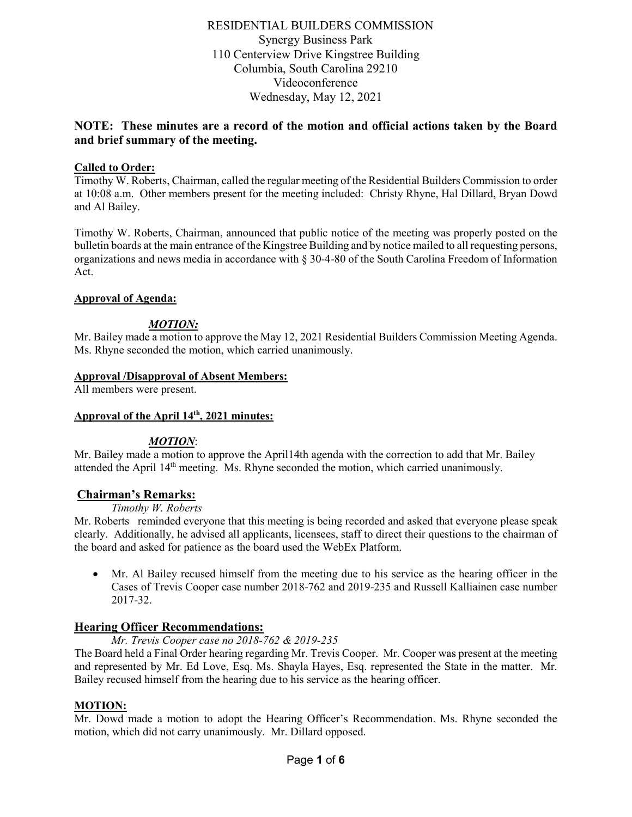RESIDENTIAL BUILDERS COMMISSION Synergy Business Park 110 Centerview Drive Kingstree Building Columbia, South Carolina 29210 Videoconference Wednesday, May 12, 2021

# **NOTE: These minutes are a record of the motion and official actions taken by the Board and brief summary of the meeting.**

## **Called to Order:**

Timothy W. Roberts, Chairman, called the regular meeting of the Residential Builders Commission to order at 10:08 a.m. Other members present for the meeting included: Christy Rhyne, Hal Dillard, Bryan Dowd and Al Bailey.

Timothy W. Roberts, Chairman, announced that public notice of the meeting was properly posted on the bulletin boards at the main entrance of the Kingstree Building and by notice mailed to all requesting persons, organizations and news media in accordance with § 30-4-80 of the South Carolina Freedom of Information Act.

#### **Approval of Agenda:**

#### *MOTION:*

Mr. Bailey made a motion to approve the May 12, 2021 Residential Builders Commission Meeting Agenda. Ms. Rhyne seconded the motion, which carried unanimously.

#### **Approval /Disapproval of Absent Members:**

All members were present.

#### **Approval of the April 14th, 2021 minutes:**

#### *MOTION*:

Mr. Bailey made a motion to approve the April14th agenda with the correction to add that Mr. Bailey attended the April 14th meeting. Ms. Rhyne seconded the motion, which carried unanimously.

#### **Chairman's Remarks:**

*Timothy W. Roberts*

Mr. Roberts reminded everyone that this meeting is being recorded and asked that everyone please speak clearly. Additionally, he advised all applicants, licensees, staff to direct their questions to the chairman of the board and asked for patience as the board used the WebEx Platform.

• Mr. Al Bailey recused himself from the meeting due to his service as the hearing officer in the Cases of Trevis Cooper case number 2018-762 and 2019-235 and Russell Kalliainen case number 2017-32.

## **Hearing Officer Recommendations:**

*Mr. Trevis Cooper case no 2018-762 & 2019-235*

The Board held a Final Order hearing regarding Mr. Trevis Cooper. Mr. Cooper was present at the meeting and represented by Mr. Ed Love, Esq. Ms. Shayla Hayes, Esq. represented the State in the matter. Mr. Bailey recused himself from the hearing due to his service as the hearing officer.

## **MOTION:**

Mr. Dowd made a motion to adopt the Hearing Officer's Recommendation. Ms. Rhyne seconded the motion, which did not carry unanimously. Mr. Dillard opposed.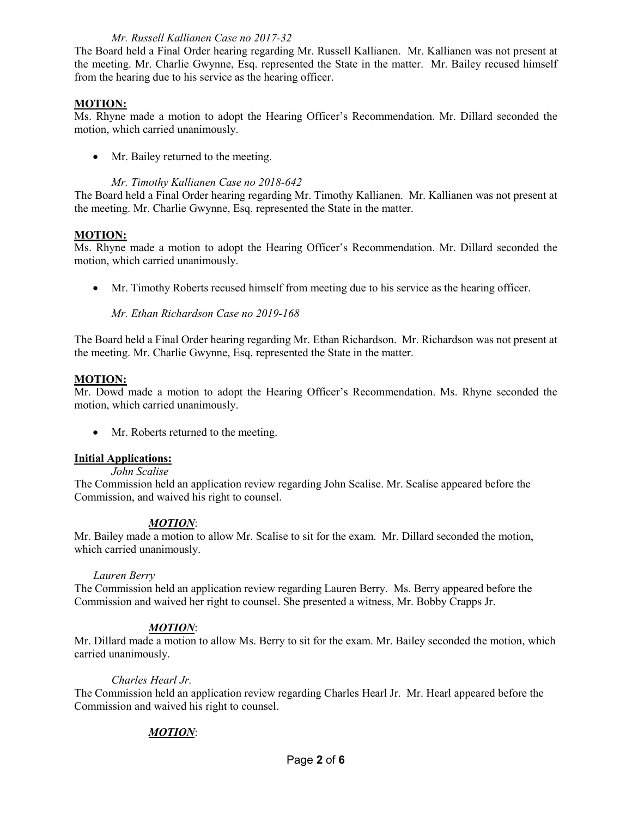#### *Mr. Russell Kallianen Case no 2017-32*

The Board held a Final Order hearing regarding Mr. Russell Kallianen. Mr. Kallianen was not present at the meeting. Mr. Charlie Gwynne, Esq. represented the State in the matter. Mr. Bailey recused himself from the hearing due to his service as the hearing officer.

## **MOTION:**

Ms. Rhyne made a motion to adopt the Hearing Officer's Recommendation. Mr. Dillard seconded the motion, which carried unanimously.

• Mr. Bailey returned to the meeting.

#### *Mr. Timothy Kallianen Case no 2018-642*

The Board held a Final Order hearing regarding Mr. Timothy Kallianen. Mr. Kallianen was not present at the meeting. Mr. Charlie Gwynne, Esq. represented the State in the matter.

#### **MOTION:**

Ms. Rhyne made a motion to adopt the Hearing Officer's Recommendation. Mr. Dillard seconded the motion, which carried unanimously.

• Mr. Timothy Roberts recused himself from meeting due to his service as the hearing officer.

*Mr. Ethan Richardson Case no 2019-168*

The Board held a Final Order hearing regarding Mr. Ethan Richardson. Mr. Richardson was not present at the meeting. Mr. Charlie Gwynne, Esq. represented the State in the matter.

#### **MOTION:**

Mr. Dowd made a motion to adopt the Hearing Officer's Recommendation. Ms. Rhyne seconded the motion, which carried unanimously.

• Mr. Roberts returned to the meeting.

#### **Initial Applications:**

*John Scalise*

The Commission held an application review regarding John Scalise. Mr. Scalise appeared before the Commission, and waived his right to counsel.

## *MOTION*:

Mr. Bailey made a motion to allow Mr. Scalise to sit for the exam. Mr. Dillard seconded the motion, which carried unanimously.

#### *Lauren Berry*

The Commission held an application review regarding Lauren Berry. Ms. Berry appeared before the Commission and waived her right to counsel. She presented a witness, Mr. Bobby Crapps Jr.

## *MOTION*:

Mr. Dillard made a motion to allow Ms. Berry to sit for the exam. Mr. Bailey seconded the motion, which carried unanimously.

#### *Charles Hearl Jr.*

The Commission held an application review regarding Charles Hearl Jr. Mr. Hearl appeared before the Commission and waived his right to counsel.

## *MOTION*: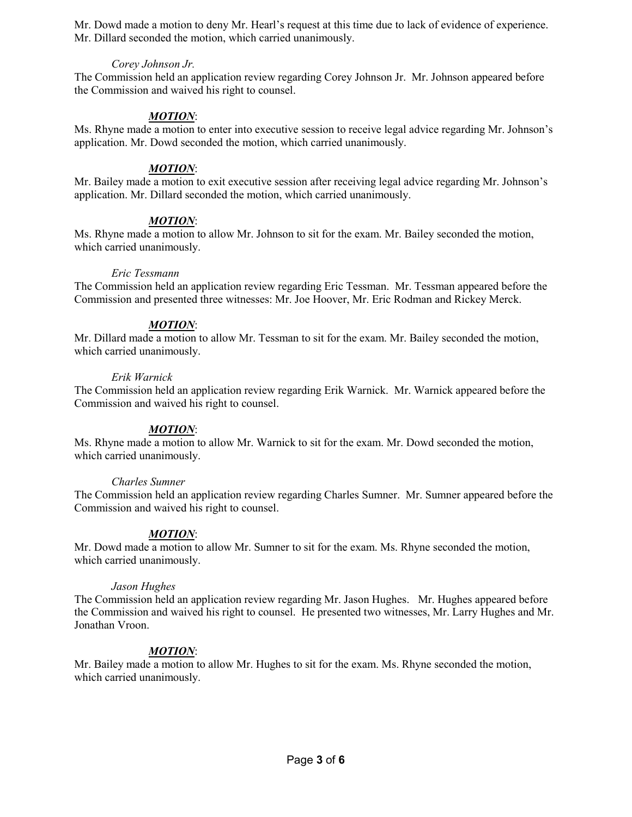Mr. Dowd made a motion to deny Mr. Hearl's request at this time due to lack of evidence of experience. Mr. Dillard seconded the motion, which carried unanimously.

#### *Corey Johnson Jr.*

The Commission held an application review regarding Corey Johnson Jr. Mr. Johnson appeared before the Commission and waived his right to counsel.

## *MOTION*:

Ms. Rhyne made a motion to enter into executive session to receive legal advice regarding Mr. Johnson's application. Mr. Dowd seconded the motion, which carried unanimously.

#### *MOTION*:

Mr. Bailey made a motion to exit executive session after receiving legal advice regarding Mr. Johnson's application. Mr. Dillard seconded the motion, which carried unanimously.

## *MOTION*:

Ms. Rhyne made a motion to allow Mr. Johnson to sit for the exam. Mr. Bailey seconded the motion, which carried unanimously.

#### *Eric Tessmann*

The Commission held an application review regarding Eric Tessman. Mr. Tessman appeared before the Commission and presented three witnesses: Mr. Joe Hoover, Mr. Eric Rodman and Rickey Merck.

#### *MOTION*:

Mr. Dillard made a motion to allow Mr. Tessman to sit for the exam. Mr. Bailey seconded the motion, which carried unanimously.

#### *Erik Warnick*

The Commission held an application review regarding Erik Warnick. Mr. Warnick appeared before the Commission and waived his right to counsel.

## *MOTION*:

Ms. Rhyne made a motion to allow Mr. Warnick to sit for the exam. Mr. Dowd seconded the motion, which carried unanimously.

#### *Charles Sumner*

The Commission held an application review regarding Charles Sumner. Mr. Sumner appeared before the Commission and waived his right to counsel.

## *MOTION*:

Mr. Dowd made a motion to allow Mr. Sumner to sit for the exam. Ms. Rhyne seconded the motion, which carried unanimously.

#### *Jason Hughes*

The Commission held an application review regarding Mr. Jason Hughes. Mr. Hughes appeared before the Commission and waived his right to counsel. He presented two witnesses, Mr. Larry Hughes and Mr. Jonathan Vroon.

## *MOTION*:

Mr. Bailey made a motion to allow Mr. Hughes to sit for the exam. Ms. Rhyne seconded the motion, which carried unanimously.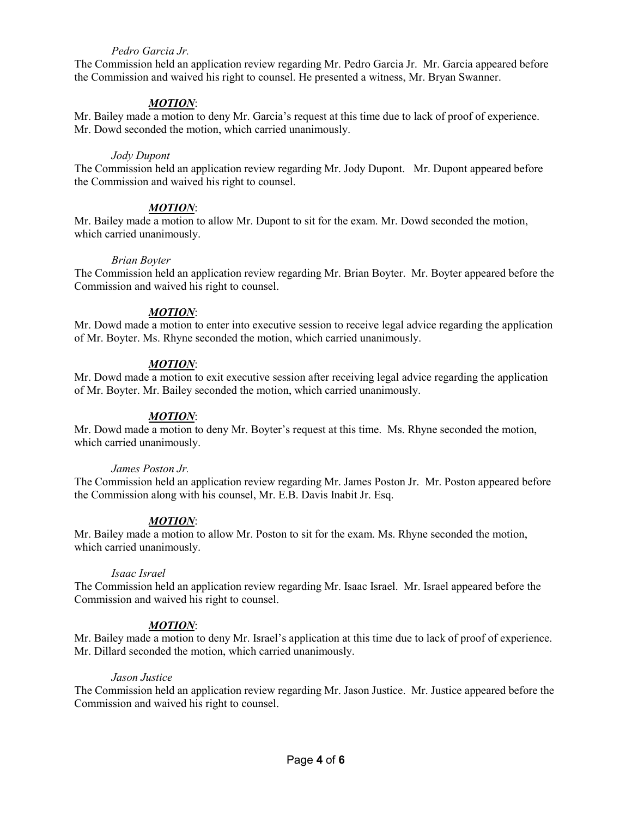#### *Pedro Garcia Jr.*

The Commission held an application review regarding Mr. Pedro Garcia Jr. Mr. Garcia appeared before the Commission and waived his right to counsel. He presented a witness, Mr. Bryan Swanner.

#### *MOTION*:

Mr. Bailey made a motion to deny Mr. Garcia's request at this time due to lack of proof of experience. Mr. Dowd seconded the motion, which carried unanimously.

#### *Jody Dupont*

The Commission held an application review regarding Mr. Jody Dupont. Mr. Dupont appeared before the Commission and waived his right to counsel.

#### *MOTION*:

Mr. Bailey made a motion to allow Mr. Dupont to sit for the exam. Mr. Dowd seconded the motion, which carried unanimously.

#### *Brian Boyter*

The Commission held an application review regarding Mr. Brian Boyter. Mr. Boyter appeared before the Commission and waived his right to counsel.

#### *MOTION*:

Mr. Dowd made a motion to enter into executive session to receive legal advice regarding the application of Mr. Boyter. Ms. Rhyne seconded the motion, which carried unanimously.

#### *MOTION*:

Mr. Dowd made a motion to exit executive session after receiving legal advice regarding the application of Mr. Boyter. Mr. Bailey seconded the motion, which carried unanimously.

#### *MOTION*:

Mr. Dowd made a motion to deny Mr. Boyter's request at this time. Ms. Rhyne seconded the motion, which carried unanimously.

#### *James Poston Jr.*

The Commission held an application review regarding Mr. James Poston Jr. Mr. Poston appeared before the Commission along with his counsel, Mr. E.B. Davis Inabit Jr. Esq.

#### *MOTION*:

Mr. Bailey made a motion to allow Mr. Poston to sit for the exam. Ms. Rhyne seconded the motion, which carried unanimously.

#### *Isaac Israel*

The Commission held an application review regarding Mr. Isaac Israel. Mr. Israel appeared before the Commission and waived his right to counsel.

#### *MOTION*:

Mr. Bailey made a motion to deny Mr. Israel's application at this time due to lack of proof of experience. Mr. Dillard seconded the motion, which carried unanimously.

#### *Jason Justice*

The Commission held an application review regarding Mr. Jason Justice. Mr. Justice appeared before the Commission and waived his right to counsel.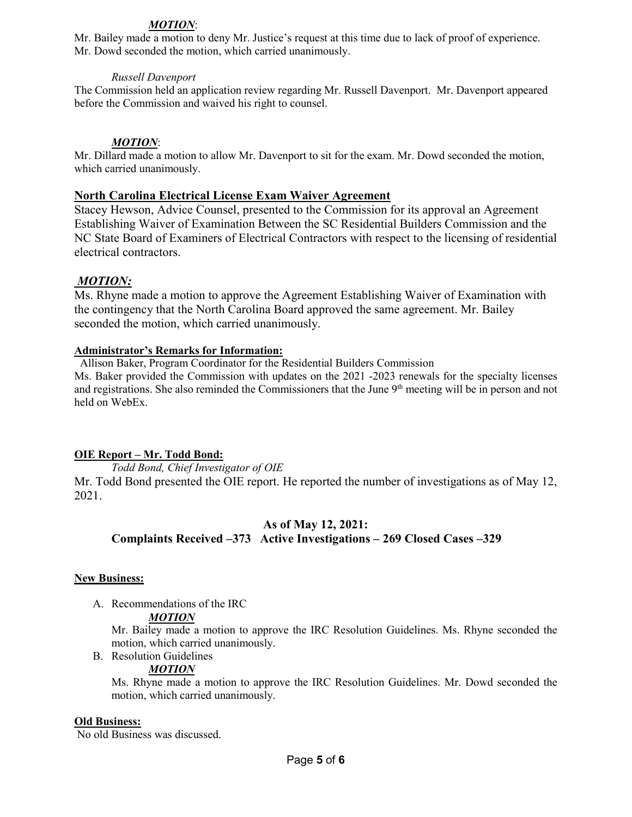## *MOTION*:

Mr. Bailey made a motion to deny Mr. Justice's request at this time due to lack of proof of experience. Mr. Dowd seconded the motion, which carried unanimously.

#### *Russell Davenport*

The Commission held an application review regarding Mr. Russell Davenport. Mr. Davenport appeared before the Commission and waived his right to counsel.

#### *MOTION*:

Mr. Dillard made a motion to allow Mr. Davenport to sit for the exam. Mr. Dowd seconded the motion, which carried unanimously.

#### **North Carolina Electrical License Exam Waiver Agreement**

Stacey Hewson, Advice Counsel, presented to the Commission for its approval an Agreement Establishing Waiver of Examination Between the SC Residential Builders Commission and the NC State Board of Examiners of Electrical Contractors with respect to the licensing of residential electrical contractors.

## *MOTION:*

Ms. Rhyne made a motion to approve the Agreement Establishing Waiver of Examination with the contingency that the North Carolina Board approved the same agreement. Mr. Bailey seconded the motion, which carried unanimously.

#### **Administrator's Remarks for Information:**

 Allison Baker, Program Coordinator for the Residential Builders Commission Ms. Baker provided the Commission with updates on the 2021 -2023 renewals for the specialty licenses and registrations. She also reminded the Commissioners that the June 9<sup>th</sup> meeting will be in person and not held on WebEx.

## **OIE Report – Mr. Todd Bond:**

*Todd Bond, Chief Investigator of OIE*

Mr. Todd Bond presented the OIE report. He reported the number of investigations as of May 12, 2021.

# **As of May 12, 2021: Complaints Received –373 Active Investigations – 269 Closed Cases –329**

#### **New Business:**

A. Recommendations of the IRC

#### *MOTION*

Mr. Bailey made a motion to approve the IRC Resolution Guidelines. Ms. Rhyne seconded the motion, which carried unanimously.

B. Resolution Guidelines

#### *MOTION*

Ms. Rhyne made a motion to approve the IRC Resolution Guidelines. Mr. Dowd seconded the motion, which carried unanimously.

#### **Old Business:**

No old Business was discussed.